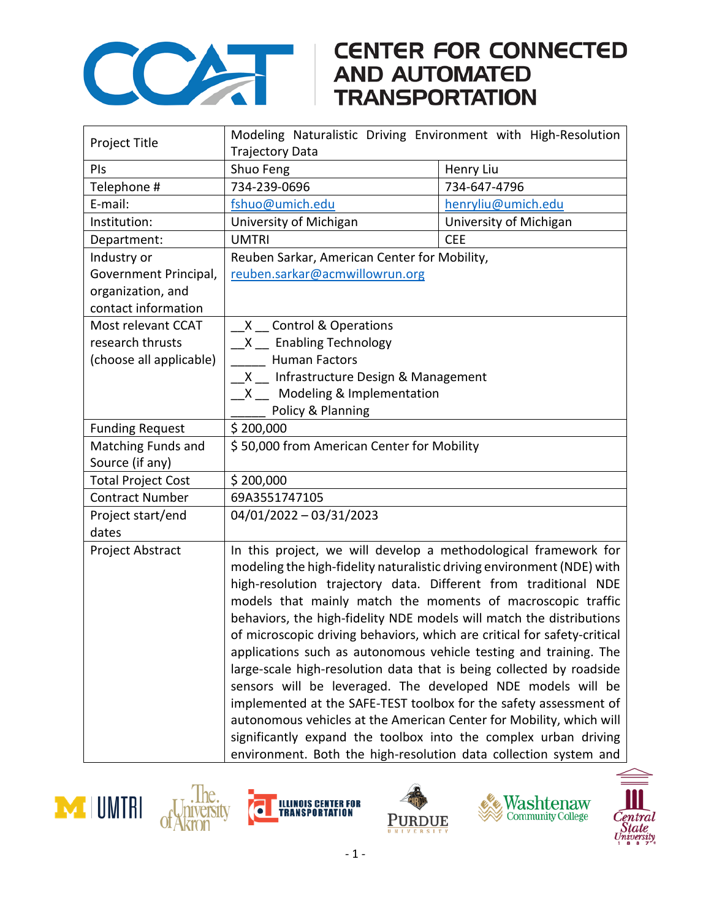

## **CENTER FOR CONNECTED**

| Project Title             | Modeling Naturalistic Driving Environment with High-Resolution                                                                                                                                                                                                                  |                        |  |
|---------------------------|---------------------------------------------------------------------------------------------------------------------------------------------------------------------------------------------------------------------------------------------------------------------------------|------------------------|--|
|                           | <b>Trajectory Data</b>                                                                                                                                                                                                                                                          |                        |  |
| PIs                       | Shuo Feng                                                                                                                                                                                                                                                                       | Henry Liu              |  |
| Telephone #               | 734-239-0696                                                                                                                                                                                                                                                                    | 734-647-4796           |  |
| E-mail:                   | fshuo@umich.edu                                                                                                                                                                                                                                                                 | henryliu@umich.edu     |  |
| Institution:              | University of Michigan                                                                                                                                                                                                                                                          | University of Michigan |  |
| Department:               | <b>UMTRI</b>                                                                                                                                                                                                                                                                    | <b>CEE</b>             |  |
| Industry or               | Reuben Sarkar, American Center for Mobility,                                                                                                                                                                                                                                    |                        |  |
| Government Principal,     | reuben.sarkar@acmwillowrun.org                                                                                                                                                                                                                                                  |                        |  |
| organization, and         |                                                                                                                                                                                                                                                                                 |                        |  |
| contact information       |                                                                                                                                                                                                                                                                                 |                        |  |
| Most relevant CCAT        | X Control & Operations                                                                                                                                                                                                                                                          |                        |  |
| research thrusts          | X Enabling Technology                                                                                                                                                                                                                                                           |                        |  |
| (choose all applicable)   | <b>Human Factors</b>                                                                                                                                                                                                                                                            |                        |  |
|                           | X Infrastructure Design & Management                                                                                                                                                                                                                                            |                        |  |
|                           | _X __ Modeling & Implementation                                                                                                                                                                                                                                                 |                        |  |
|                           | Policy & Planning                                                                                                                                                                                                                                                               |                        |  |
| <b>Funding Request</b>    | \$200,000                                                                                                                                                                                                                                                                       |                        |  |
| Matching Funds and        | \$50,000 from American Center for Mobility                                                                                                                                                                                                                                      |                        |  |
| Source (if any)           |                                                                                                                                                                                                                                                                                 |                        |  |
| <b>Total Project Cost</b> | \$200,000                                                                                                                                                                                                                                                                       |                        |  |
| <b>Contract Number</b>    | 69A3551747105                                                                                                                                                                                                                                                                   |                        |  |
| Project start/end         | 04/01/2022 - 03/31/2023                                                                                                                                                                                                                                                         |                        |  |
| dates                     |                                                                                                                                                                                                                                                                                 |                        |  |
| Project Abstract          | In this project, we will develop a methodological framework for                                                                                                                                                                                                                 |                        |  |
|                           | modeling the high-fidelity naturalistic driving environment (NDE) with                                                                                                                                                                                                          |                        |  |
|                           | high-resolution trajectory data. Different from traditional NDE                                                                                                                                                                                                                 |                        |  |
|                           | models that mainly match the moments of macroscopic traffic                                                                                                                                                                                                                     |                        |  |
|                           | behaviors, the high-fidelity NDE models will match the distributions                                                                                                                                                                                                            |                        |  |
|                           | of microscopic driving behaviors, which are critical for safety-critical                                                                                                                                                                                                        |                        |  |
|                           | applications such as autonomous vehicle testing and training. The                                                                                                                                                                                                               |                        |  |
|                           | large-scale high-resolution data that is being collected by roadside                                                                                                                                                                                                            |                        |  |
|                           | sensors will be leveraged. The developed NDE models will be                                                                                                                                                                                                                     |                        |  |
|                           | implemented at the SAFE-TEST toolbox for the safety assessment of<br>autonomous vehicles at the American Center for Mobility, which will<br>significantly expand the toolbox into the complex urban driving<br>environment. Both the high-resolution data collection system and |                        |  |
|                           |                                                                                                                                                                                                                                                                                 |                        |  |
|                           |                                                                                                                                                                                                                                                                                 |                        |  |
|                           |                                                                                                                                                                                                                                                                                 |                        |  |









Ò